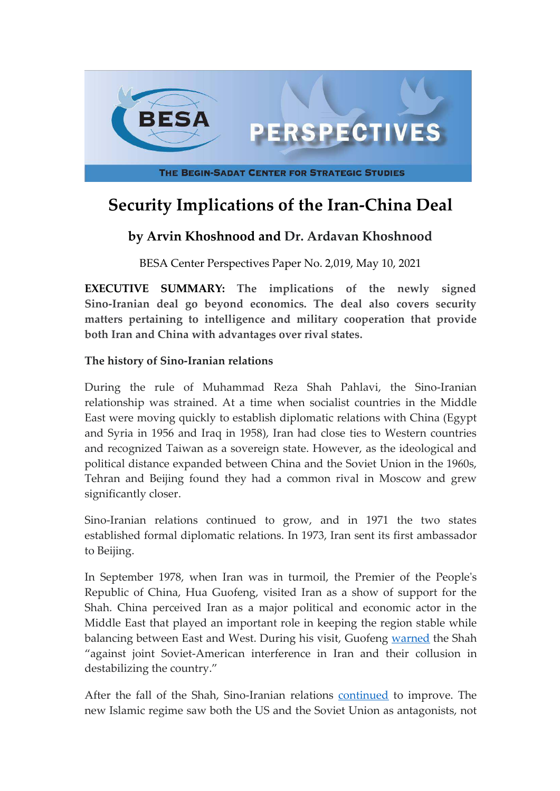

# **Security Implications of the Iran-China Deal**

# **by Arvin Khoshnood and Dr. Ardavan Khoshnood**

BESA Center Perspectives Paper No. 2,019, May 10, 2021

**EXECUTIVE SUMMARY: The implications of the newly signed Sino-Iranian deal go beyond economics. The deal also covers security matters pertaining to intelligence and military cooperation that provide both Iran and China with advantages over rival states.**

#### **The history of Sino-Iranian relations**

During the rule of Muhammad Reza Shah Pahlavi, the Sino-Iranian relationship was strained. At a time when socialist countries in the Middle East were moving quickly to establish diplomatic relations with China (Egypt and Syria in 1956 and Iraq in 1958), Iran had close ties to Western countries and recognized Taiwan as a sovereign state. However, as the ideological and political distance expanded between China and the Soviet Union in the 1960s, Tehran and Beijing found they had a common rival in Moscow and grew significantly closer.

Sino-Iranian relations continued to grow, and in 1971 the two states established formal diplomatic relations. In 1973, Iran sent its first ambassador to Beijing.

In September 1978, when Iran was in turmoil, the Premier of the People's Republic of China, Hua Guofeng, visited Iran as a show of support for the Shah. China perceived Iran as a major political and economic actor in the Middle East that played an important role in keeping the region stable while balancing between East and West. During his visit, Guofeng [warned](https://www.amazon.com/Last-Shah-Iran-Countdown-Betrayed/dp/1904997031) the Shah "against joint Soviet-American interference in Iran and their collusion in destabilizing the country."

After the fall of the Shah, Sino-Iranian relations [continued](https://iranicaonline.org/articles/chinese-iranian-v) to improve. The new Islamic regime saw both the US and the Soviet Union as antagonists, not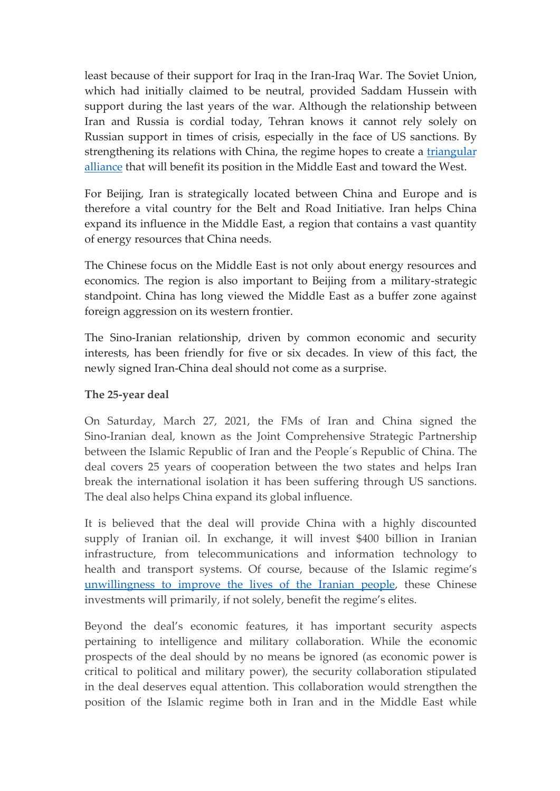least because of their support for Iraq in the Iran-Iraq War. The Soviet Union, which had initially claimed to be neutral, provided Saddam Hussein with support during the last years of the war. Although the relationship between Iran and Russia is cordial today, Tehran knows it cannot rely solely on Russian support in times of crisis, especially in the face of US sanctions. By strengthening its relations with China, the regime hopes to create a [triangular](https://www.mei.edu/publications/iran-russia-ties-never-better-maybe-not-forever) alliance that will benefit its position in the Middle East and toward the West.

For Beijing, Iran is strategically located between China and Europe and is therefore a vital country for the Belt and Road Initiative. Iran helps China expand its influence in the Middle East, a region that contains a vast quantity of energy resources that China needs.

The Chinese focus on the Middle East is not only about energy resources and economics. The region is also important to Beijing from a military-strategic standpoint. China has long viewed the Middle East as a buffer zone against foreign aggression on its western frontier.

The Sino-Iranian relationship, driven by common economic and security interests, has been friendly for five or six decades. In view of this fact, the newly signed Iran-China deal should not come as a surprise.

### **The 25-year deal**

On Saturday, March 27, 2021, the FMs of Iran and China signed the Sino-Iranian deal, known as the Joint Comprehensive Strategic Partnership between the Islamic Republic of Iran and the People´s Republic of China. The deal covers 25 years of cooperation between the two states and helps Iran break the international isolation it has been suffering through US sanctions. The deal also helps China expand its global influence.

It is believed that the deal will provide China with a highly discounted supply of Iranian oil. In exchange, it will invest \$400 billion in Iranian infrastructure, from telecommunications and information technology to health and transport systems. Of course, because of the Islamic regime's [unwillingness to improve the lives of the Iranian](https://besacenter.org/perspectives-papers/lifting-iran-sanctions/) people, these Chinese investments will primarily, if not solely, benefit the regime's elites.

Beyond the deal's economic features, it has important security aspects pertaining to intelligence and military collaboration. While the economic prospects of the deal should by no means be ignored (as economic power is critical to political and military power), the security collaboration stipulated in the deal deserves equal attention. This collaboration would strengthen the position of the Islamic regime both in Iran and in the Middle East while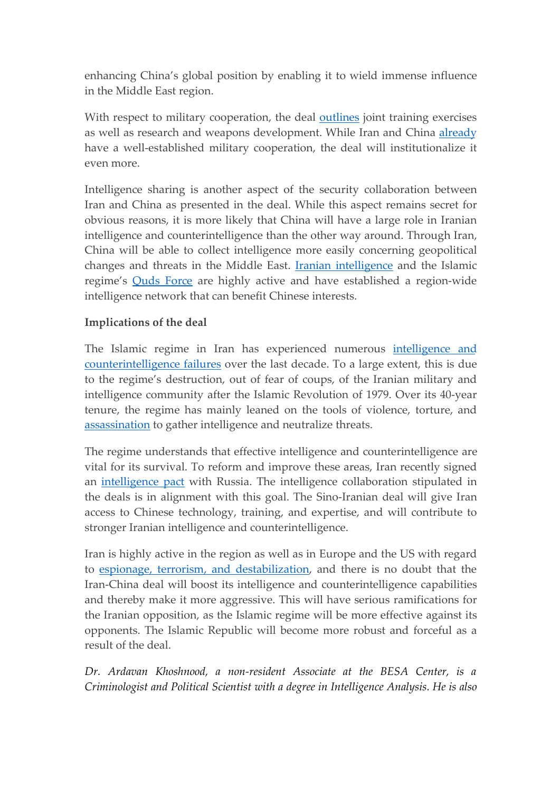enhancing China's global position by enabling it to wield immense influence in the Middle East region.

With respect to military cooperation, the deal **[outlines](https://www.nytimes.com/2021/03/27/world/middleeast/china-iran-deal.html)** joint training exercises as well as research and weapons development. While Iran and China [already](https://www.farsnews.ir/news/13980629000697/%D8%B1%D8%B2%D9%85%D8%A7%DB%8C%D8%B4-%D8%A7%DB%8C%D8%B1%D8%A7%D9%86-%DA%86%DB%8C%D9%86-%D9%88-%D8%B1%D9%88%D8%B3%DB%8C%D9%87-%D8%AF%D8%B1-%D8%AF%D8%B1%DB%8C%D8%A7%DB%8C-%D8%B9%D9%85%D8%A7%D9%86-%DA%AF%D8%A7%D9%85%E2%80%8C%D9%87%D8%A7%DB%8C-%D9%85%D8%AD%DA%A9%D9%85%E2%80%8C%D8%AA%D8%B1%DB%8C-%D8%AF%D8%B1-%D8%B1%D9%88%D8%A7%D8%A8%D8%B7-%D8%A8%D8%A7) have a well-established military cooperation, the deal will institutionalize it even more.

Intelligence sharing is another aspect of the security collaboration between Iran and China as presented in the deal. While this aspect remains secret for obvious reasons, it is more likely that China will have a large role in Iranian intelligence and counterintelligence than the other way around. Through Iran, China will be able to collect intelligence more easily concerning geopolitical changes and threats in the Middle East. [Iranian intelligence](https://theintercept.com/2019/11/18/iran-iraq-spy-cables/) and the Islamic regime's [Quds Force](http://www.cejiss.org/issue-detail/knoshnood2020) are highly active and have established a region-wide intelligence network that can benefit Chinese interests.

## **Implications of the deal**

The Islamic regime in Iran has experienced numerous [intelligence and](https://besacenter.org/perspectives-papers/iran-fakhrizadeh-assassination/) counterintelligence failures over the last decade. To a large extent, this is due to the regime's destruction, out of fear of coups, of the Iranian military and intelligence community after the Islamic Revolution of 1979. Over its 40-year tenure, the regime has mainly leaned on the tools of violence, torture, and [assassination](https://besacenter.org/mideast-security-and-policy-studies/iran-political-assassinations/) to gather intelligence and neutralize threats.

The regime understands that effective intelligence and counterintelligence are vital for its survival. To reform and improve these areas, Iran recently signed an [intelligence pact](https://besacenter.org/perspectives-papers/russia-iran-intelligence-pact/) with Russia. The intelligence collaboration stipulated in the deals is in alignment with this goal. The Sino-Iranian deal will give Iran access to Chinese technology, training, and expertise, and will contribute to stronger Iranian intelligence and counterintelligence.

Iran is highly active in the region as well as in Europe and the US with regard to [espionage, terrorism, and destabilization,](http://www.cejiss.org/issue-detail/knoshnood2020) and there is no doubt that the Iran-China deal will boost its intelligence and counterintelligence capabilities and thereby make it more aggressive. This will have serious ramifications for the Iranian opposition, as the Islamic regime will be more effective against its opponents. The Islamic Republic will become more robust and forceful as a result of the deal.

*Dr. Ardavan Khoshnood, a non-resident Associate at the BESA Center, is a Criminologist and Political Scientist with a degree in Intelligence Analysis. He is also*